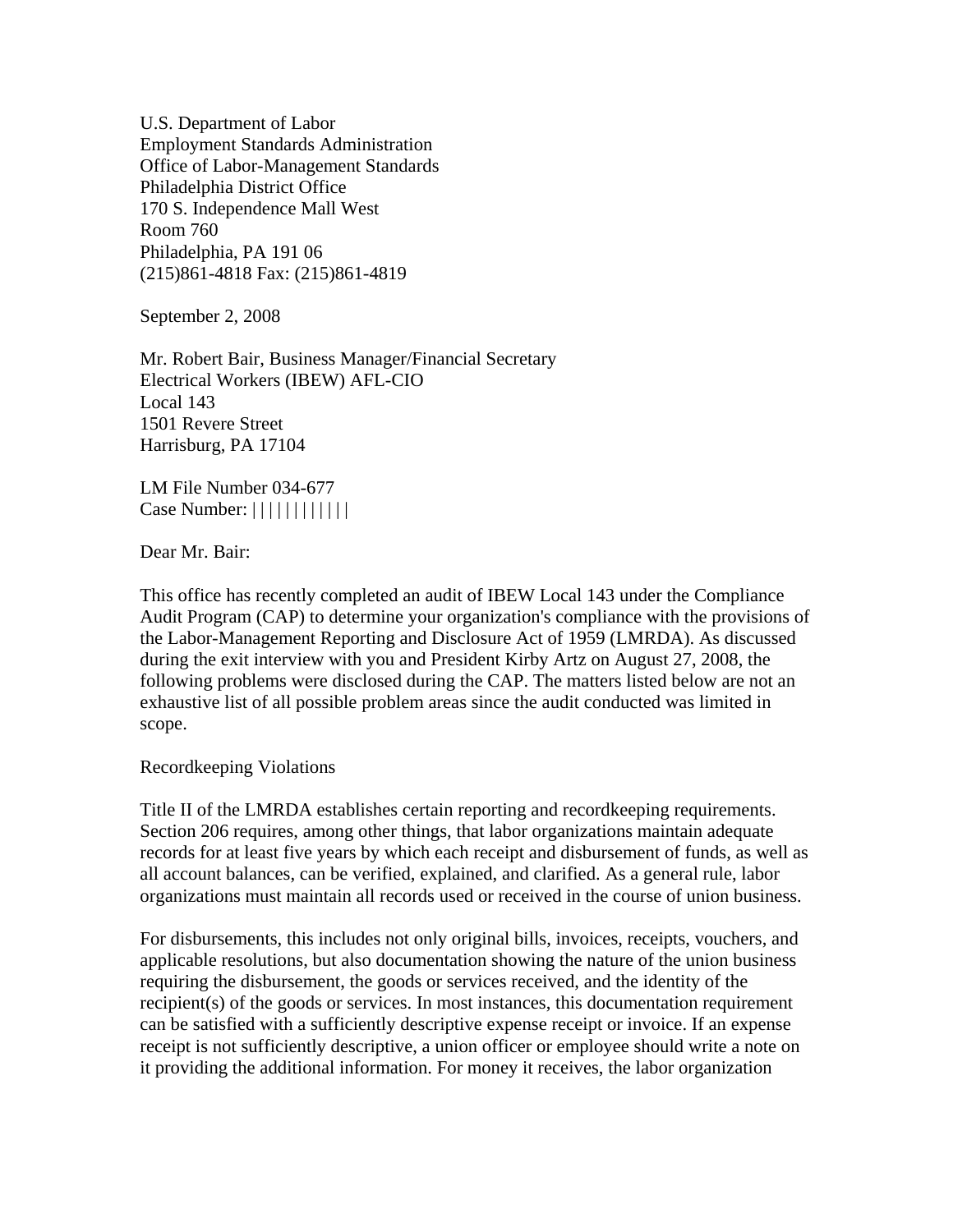U.S. Department of Labor Employment Standards Administration Office of Labor-Management Standards Philadelphia District Office 170 S. Independence Mall West Room 760 Philadelphia, PA 191 06 (215)861-4818 Fax: (215)861-4819

September 2, 2008

Mr. Robert Bair, Business Manager/Financial Secretary Electrical Workers (IBEW) AFL-CIO Local 143 1501 Revere Street Harrisburg, PA 17104

LM File Number 034-677 Case Number: ||||||||||||

Dear Mr. Bair:

This office has recently completed an audit of IBEW Local 143 under the Compliance Audit Program (CAP) to determine your organization's compliance with the provisions of the Labor-Management Reporting and Disclosure Act of 1959 (LMRDA). As discussed during the exit interview with you and President Kirby Artz on August 27, 2008, the following problems were disclosed during the CAP. The matters listed below are not an exhaustive list of all possible problem areas since the audit conducted was limited in scope.

Recordkeeping Violations

Title II of the LMRDA establishes certain reporting and recordkeeping requirements. Section 206 requires, among other things, that labor organizations maintain adequate records for at least five years by which each receipt and disbursement of funds, as well as all account balances, can be verified, explained, and clarified. As a general rule, labor organizations must maintain all records used or received in the course of union business.

For disbursements, this includes not only original bills, invoices, receipts, vouchers, and applicable resolutions, but also documentation showing the nature of the union business requiring the disbursement, the goods or services received, and the identity of the recipient(s) of the goods or services. In most instances, this documentation requirement can be satisfied with a sufficiently descriptive expense receipt or invoice. If an expense receipt is not sufficiently descriptive, a union officer or employee should write a note on it providing the additional information. For money it receives, the labor organization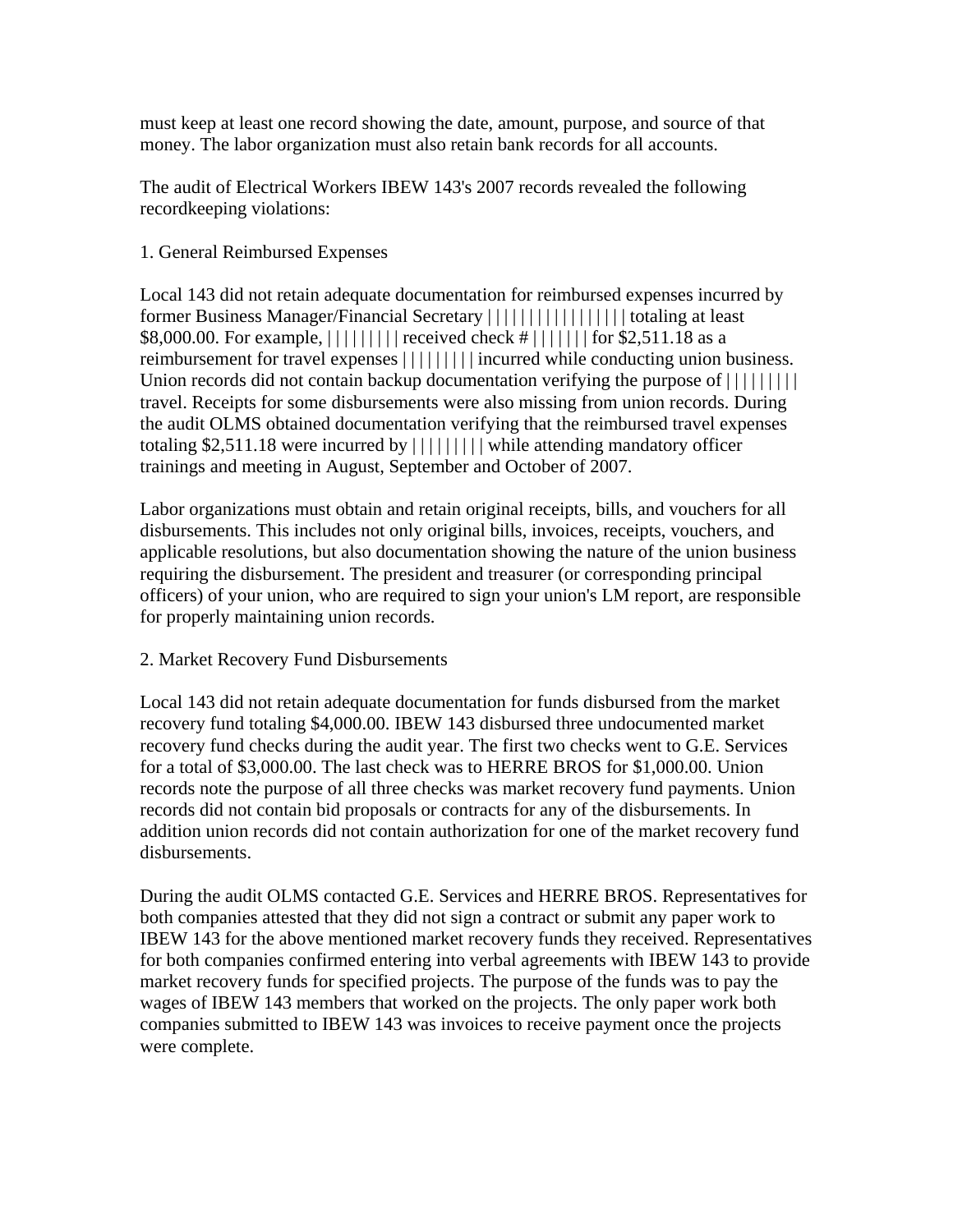must keep at least one record showing the date, amount, purpose, and source of that money. The labor organization must also retain bank records for all accounts.

The audit of Electrical Workers IBEW 143's 2007 records revealed the following recordkeeping violations:

## 1. General Reimbursed Expenses

Local 143 did not retain adequate documentation for reimbursed expenses incurred by former Business Manager/Financial Secretary | | | | | | | | | | | | | | | | | totaling at least \$8,000.00. For example, | | | | | | | | | received check # | | | | | | | for \$2,511.18 as a reimbursement for travel expenses  $||||||||||$  incurred while conducting union business. Union records did not contain backup documentation verifying the purpose of  $\left[ \begin{array}{c} | \\ | \end{array} \right]$ travel. Receipts for some disbursements were also missing from union records. During the audit OLMS obtained documentation verifying that the reimbursed travel expenses totaling \$2,511.18 were incurred by | | | | | | | | | while attending mandatory officer trainings and meeting in August, September and October of 2007.

Labor organizations must obtain and retain original receipts, bills, and vouchers for all disbursements. This includes not only original bills, invoices, receipts, vouchers, and applicable resolutions, but also documentation showing the nature of the union business requiring the disbursement. The president and treasurer (or corresponding principal officers) of your union, who are required to sign your union's LM report, are responsible for properly maintaining union records.

# 2. Market Recovery Fund Disbursements

Local 143 did not retain adequate documentation for funds disbursed from the market recovery fund totaling \$4,000.00. IBEW 143 disbursed three undocumented market recovery fund checks during the audit year. The first two checks went to G.E. Services for a total of \$3,000.00. The last check was to HERRE BROS for \$1,000.00. Union records note the purpose of all three checks was market recovery fund payments. Union records did not contain bid proposals or contracts for any of the disbursements. In addition union records did not contain authorization for one of the market recovery fund disbursements.

During the audit OLMS contacted G.E. Services and HERRE BROS. Representatives for both companies attested that they did not sign a contract or submit any paper work to IBEW 143 for the above mentioned market recovery funds they received. Representatives for both companies confirmed entering into verbal agreements with IBEW 143 to provide market recovery funds for specified projects. The purpose of the funds was to pay the wages of IBEW 143 members that worked on the projects. The only paper work both companies submitted to IBEW 143 was invoices to receive payment once the projects were complete.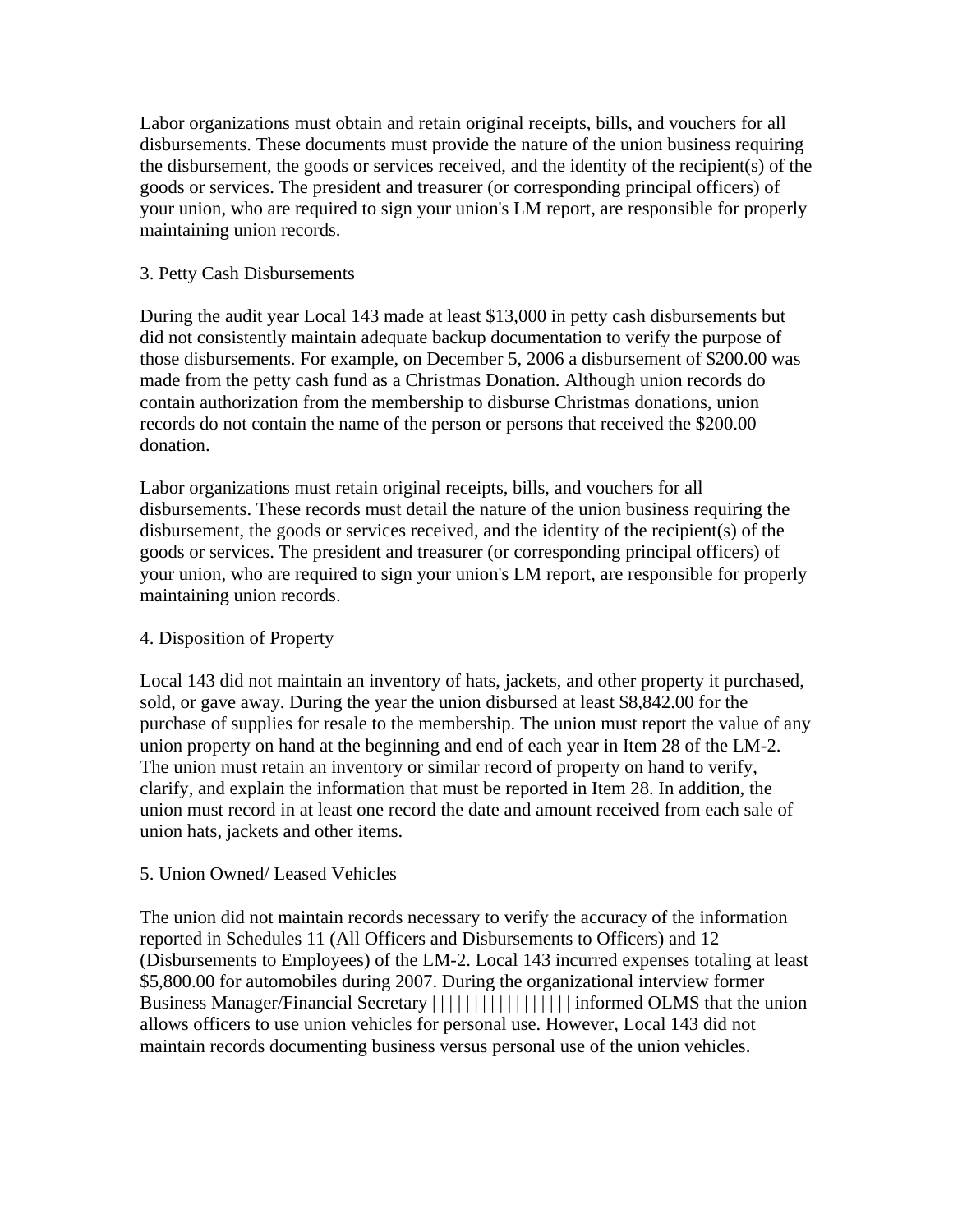Labor organizations must obtain and retain original receipts, bills, and vouchers for all disbursements. These documents must provide the nature of the union business requiring the disbursement, the goods or services received, and the identity of the recipient(s) of the goods or services. The president and treasurer (or corresponding principal officers) of your union, who are required to sign your union's LM report, are responsible for properly maintaining union records.

## 3. Petty Cash Disbursements

During the audit year Local 143 made at least \$13,000 in petty cash disbursements but did not consistently maintain adequate backup documentation to verify the purpose of those disbursements. For example, on December 5, 2006 a disbursement of \$200.00 was made from the petty cash fund as a Christmas Donation. Although union records do contain authorization from the membership to disburse Christmas donations, union records do not contain the name of the person or persons that received the \$200.00 donation.

Labor organizations must retain original receipts, bills, and vouchers for all disbursements. These records must detail the nature of the union business requiring the disbursement, the goods or services received, and the identity of the recipient(s) of the goods or services. The president and treasurer (or corresponding principal officers) of your union, who are required to sign your union's LM report, are responsible for properly maintaining union records.

#### 4. Disposition of Property

Local 143 did not maintain an inventory of hats, jackets, and other property it purchased, sold, or gave away. During the year the union disbursed at least \$8,842.00 for the purchase of supplies for resale to the membership. The union must report the value of any union property on hand at the beginning and end of each year in Item 28 of the LM-2. The union must retain an inventory or similar record of property on hand to verify, clarify, and explain the information that must be reported in Item 28. In addition, the union must record in at least one record the date and amount received from each sale of union hats, jackets and other items.

# 5. Union Owned/ Leased Vehicles

The union did not maintain records necessary to verify the accuracy of the information reported in Schedules 11 (All Officers and Disbursements to Officers) and 12 (Disbursements to Employees) of the LM-2. Local 143 incurred expenses totaling at least \$5,800.00 for automobiles during 2007. During the organizational interview former Business Manager/Financial Secretary ||||||||||||||||||||informed OLMS that the union allows officers to use union vehicles for personal use. However, Local 143 did not maintain records documenting business versus personal use of the union vehicles.